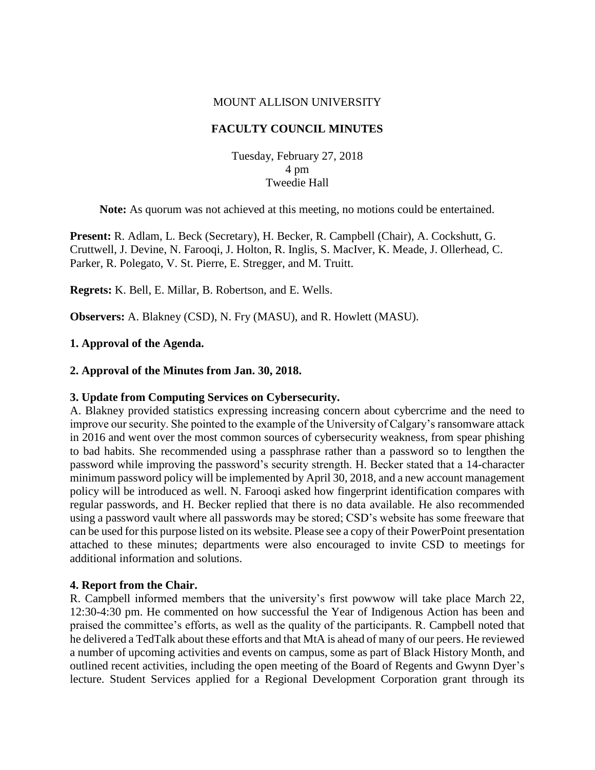### MOUNT ALLISON UNIVERSITY

# **FACULTY COUNCIL MINUTES**

Tuesday, February 27, 2018 4 pm Tweedie Hall

**Note:** As quorum was not achieved at this meeting, no motions could be entertained.

**Present:** R. Adlam, L. Beck (Secretary), H. Becker, R. Campbell (Chair), A. Cockshutt, G. Cruttwell, J. Devine, N. Farooqi, J. Holton, R. Inglis, S. MacIver, K. Meade, J. Ollerhead, C. Parker, R. Polegato, V. St. Pierre, E. Stregger, and M. Truitt.

**Regrets:** K. Bell, E. Millar, B. Robertson, and E. Wells.

**Observers:** A. Blakney (CSD), N. Fry (MASU), and R. Howlett (MASU).

### **1. Approval of the Agenda.**

### **2. Approval of the Minutes from Jan. 30, 2018.**

#### **3. Update from Computing Services on Cybersecurity.**

A. Blakney provided statistics expressing increasing concern about cybercrime and the need to improve our security. She pointed to the example of the University of Calgary's ransomware attack in 2016 and went over the most common sources of cybersecurity weakness, from spear phishing to bad habits. She recommended using a passphrase rather than a password so to lengthen the password while improving the password's security strength. H. Becker stated that a 14-character minimum password policy will be implemented by April 30, 2018, and a new account management policy will be introduced as well. N. Farooqi asked how fingerprint identification compares with regular passwords, and H. Becker replied that there is no data available. He also recommended using a password vault where all passwords may be stored; CSD's website has some freeware that can be used for this purpose listed on its website. Please see a copy of their PowerPoint presentation attached to these minutes; departments were also encouraged to invite CSD to meetings for additional information and solutions.

#### **4. Report from the Chair.**

R. Campbell informed members that the university's first powwow will take place March 22, 12:30-4:30 pm. He commented on how successful the Year of Indigenous Action has been and praised the committee's efforts, as well as the quality of the participants. R. Campbell noted that he delivered a TedTalk about these efforts and that MtA is ahead of many of our peers. He reviewed a number of upcoming activities and events on campus, some as part of Black History Month, and outlined recent activities, including the open meeting of the Board of Regents and Gwynn Dyer's lecture. Student Services applied for a Regional Development Corporation grant through its